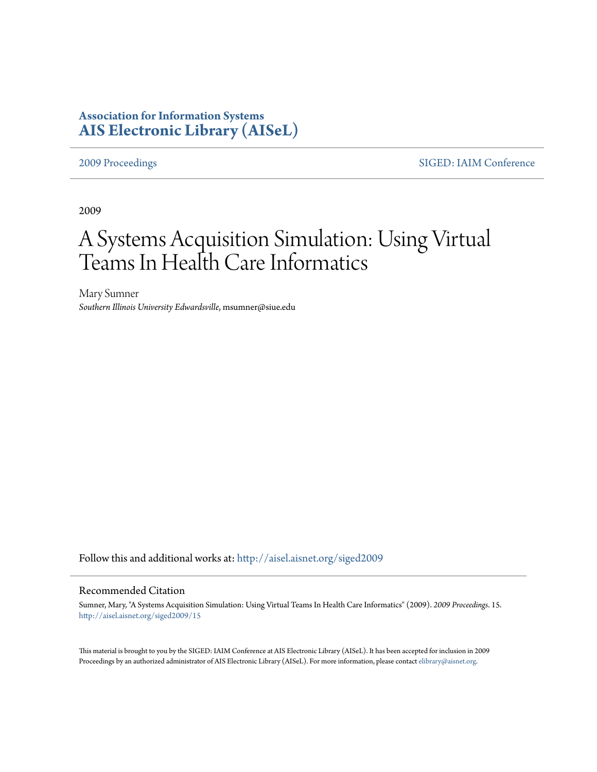# **Association for Information Systems [AIS Electronic Library \(AISeL\)](http://aisel.aisnet.org?utm_source=aisel.aisnet.org%2Fsiged2009%2F15&utm_medium=PDF&utm_campaign=PDFCoverPages)**

[2009 Proceedings](http://aisel.aisnet.org/siged2009?utm_source=aisel.aisnet.org%2Fsiged2009%2F15&utm_medium=PDF&utm_campaign=PDFCoverPages) [SIGED: IAIM Conference](http://aisel.aisnet.org/siged?utm_source=aisel.aisnet.org%2Fsiged2009%2F15&utm_medium=PDF&utm_campaign=PDFCoverPages)

2009

# A Systems Acquisition Simulation: Using Virtual Teams In Health Care Informatics

Mary Sumner *Southern Illinois University Edwardsville*, msumner@siue.edu

Follow this and additional works at: [http://aisel.aisnet.org/siged2009](http://aisel.aisnet.org/siged2009?utm_source=aisel.aisnet.org%2Fsiged2009%2F15&utm_medium=PDF&utm_campaign=PDFCoverPages)

### Recommended Citation

Sumner, Mary, "A Systems Acquisition Simulation: Using Virtual Teams In Health Care Informatics" (2009). *2009 Proceedings*. 15. [http://aisel.aisnet.org/siged2009/15](http://aisel.aisnet.org/siged2009/15?utm_source=aisel.aisnet.org%2Fsiged2009%2F15&utm_medium=PDF&utm_campaign=PDFCoverPages)

This material is brought to you by the SIGED: IAIM Conference at AIS Electronic Library (AISeL). It has been accepted for inclusion in 2009 Proceedings by an authorized administrator of AIS Electronic Library (AISeL). For more information, please contact [elibrary@aisnet.org](mailto:elibrary@aisnet.org%3E).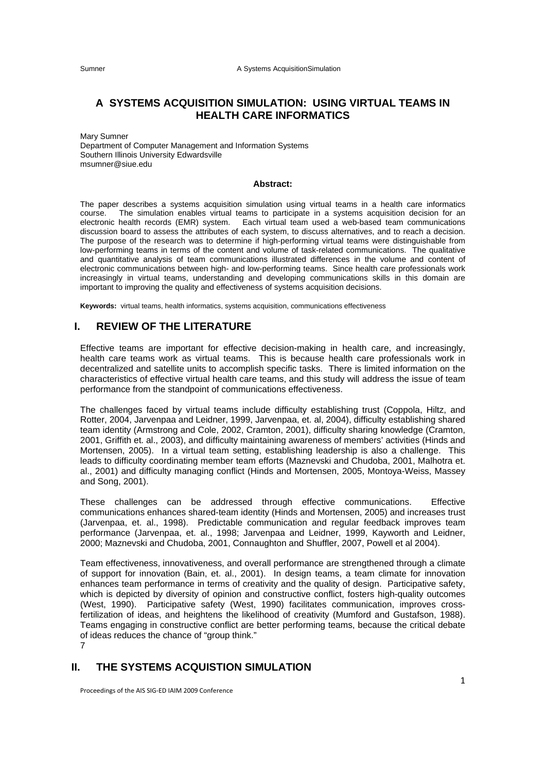# **A SYSTEMS ACQUISITION SIMULATION: USING VIRTUAL TEAMS IN HEALTH CARE INFORMATICS**

Mary Sumner Department of Computer Management and Information Systems Southern Illinois University Edwardsville msumner@siue.edu

#### **Abstract:**

The paper describes a systems acquisition simulation using virtual teams in a health care informatics course. The simulation enables virtual teams to participate in a systems acquisition decision for an electronic health records (EMR) system. Each virtual team used a web-based team communications discussion board to assess the attributes of each system, to discuss alternatives, and to reach a decision. The purpose of the research was to determine if high-performing virtual teams were distinguishable from low-performing teams in terms of the content and volume of task-related communications. The qualitative and quantitative analysis of team communications illustrated differences in the volume and content of electronic communications between high- and low-performing teams. Since health care professionals work increasingly in virtual teams, understanding and developing communications skills in this domain are important to improving the quality and effectiveness of systems acquisition decisions.

**Keywords:** virtual teams, health informatics, systems acquisition, communications effectiveness

# **I. REVIEW OF THE LITERATURE**

Effective teams are important for effective decision-making in health care, and increasingly, health care teams work as virtual teams. This is because health care professionals work in decentralized and satellite units to accomplish specific tasks. There is limited information on the characteristics of effective virtual health care teams, and this study will address the issue of team performance from the standpoint of communications effectiveness.

The challenges faced by virtual teams include difficulty establishing trust (Coppola, Hiltz, and Rotter, 2004, Jarvenpaa and Leidner, 1999, Jarvenpaa, et. al, 2004), difficulty establishing shared team identity (Armstrong and Cole, 2002, Cramton, 2001), difficulty sharing knowledge (Cramton, 2001, Griffith et. al., 2003), and difficulty maintaining awareness of members' activities (Hinds and Mortensen, 2005). In a virtual team setting, establishing leadership is also a challenge. This leads to difficulty coordinating member team efforts (Maznevski and Chudoba, 2001, Malhotra et. al., 2001) and difficulty managing conflict (Hinds and Mortensen, 2005, Montoya-Weiss, Massey and Song, 2001).

These challenges can be addressed through effective communications. Effective communications enhances shared-team identity (Hinds and Mortensen, 2005) and increases trust (Jarvenpaa, et. al., 1998). Predictable communication and regular feedback improves team performance (Jarvenpaa, et. al., 1998; Jarvenpaa and Leidner, 1999, Kayworth and Leidner, 2000; Maznevski and Chudoba, 2001, Connaughton and Shuffler, 2007, Powell et al 2004).

Team effectiveness, innovativeness, and overall performance are strengthened through a climate of support for innovation (Bain, et. al., 2001). In design teams, a team climate for innovation enhances team performance in terms of creativity and the quality of design. Participative safety, which is depicted by diversity of opinion and constructive conflict, fosters high-quality outcomes (West, 1990).Participative safety (West, 1990) facilitates communication, improves crossfertilization of ideas, and heightens the likelihood of creativity (Mumford and Gustafson, 1988). Teams engaging in constructive conflict are better performing teams, because the critical debate of ideas reduces the chance of "group think." 7

**II. THE SYSTEMS ACQUISTION SIMULATION** 

Proceedings of the AIS SIG‐ED IAIM 2009 Conference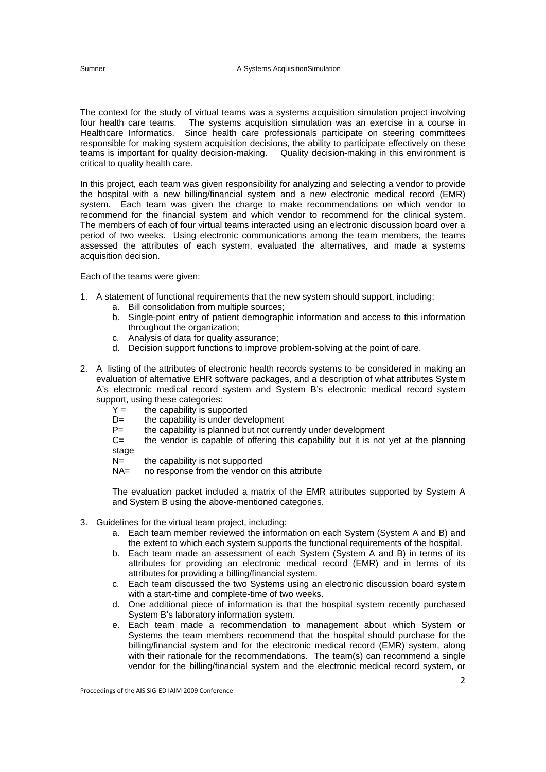The context for the study of virtual teams was a systems acquisition simulation project involving four health care teams. The systems acquisition simulation was an exercise in a course in Healthcare Informatics. Since health care professionals participate on steering committees responsible for making system acquisition decisions, the ability to participate effectively on these teams is important for quality decision-making. Quality decision-making in this environment is critical to quality health care.

In this project, each team was given responsibility for analyzing and selecting a vendor to provide the hospital with a new billing/financial system and a new electronic medical record (EMR) system. Each team was given the charge to make recommendations on which vendor to recommend for the financial system and which vendor to recommend for the clinical system. The members of each of four virtual teams interacted using an electronic discussion board over a period of two weeks. Using electronic communications among the team members, the teams assessed the attributes of each system, evaluated the alternatives, and made a systems acquisition decision.

Each of the teams were given:

- 1. A statement of functional requirements that the new system should support, including:
	- a. Bill consolidation from multiple sources;
	- b. Single-point entry of patient demographic information and access to this information throughout the organization;
	- c. Analysis of data for quality assurance;
	- d. Decision support functions to improve problem-solving at the point of care.
- 2. A listing of the attributes of electronic health records systems to be considered in making an evaluation of alternative EHR software packages, and a description of what attributes System A's electronic medical record system and System B's electronic medical record system support, using these categories:
	- $Y =$  the capability is supported<br>D= the capability is under deve
	- the capability is under development
	- P= the capability is planned but not currently under development
	- $C=$  the vendor is capable of offering this capability but it is not yet at the planning stage
	- $N =$  the capability is not supported
	- NA= no response from the vendor on this attribute

The evaluation packet included a matrix of the EMR attributes supported by System A and System B using the above-mentioned categories.

- 3. Guidelines for the virtual team project, including:
	- a. Each team member reviewed the information on each System (System A and B) and the extent to which each system supports the functional requirements of the hospital.
	- b. Each team made an assessment of each System (System A and B) in terms of its attributes for providing an electronic medical record (EMR) and in terms of its attributes for providing a billing/financial system.
	- c. Each team discussed the two Systems using an electronic discussion board system with a start-time and complete-time of two weeks.
	- d. One additional piece of information is that the hospital system recently purchased System B's laboratory information system.
	- e. Each team made a recommendation to management about which System or Systems the team members recommend that the hospital should purchase for the billing/financial system and for the electronic medical record (EMR) system, along with their rationale for the recommendations. The team(s) can recommend a single vendor for the billing/financial system and the electronic medical record system, or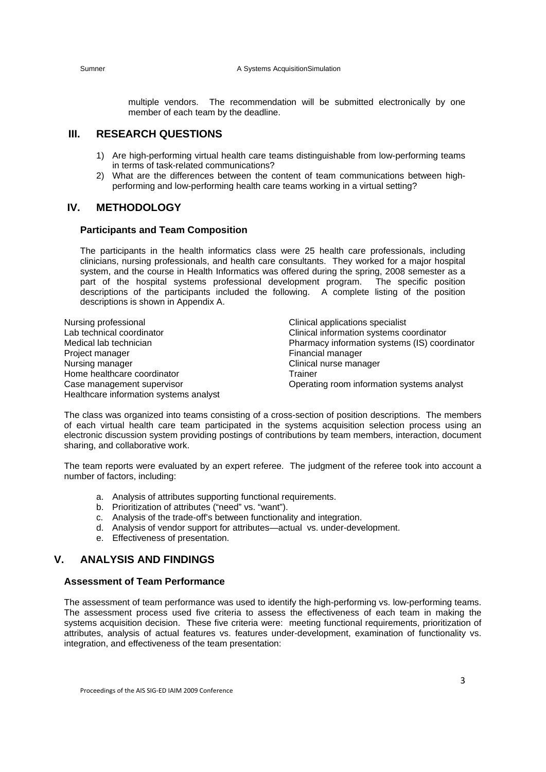multiple vendors. The recommendation will be submitted electronically by one member of each team by the deadline.

# **III. RESEARCH QUESTIONS**

- 1) Are high-performing virtual health care teams distinguishable from low-performing teams in terms of task-related communications?
- 2) What are the differences between the content of team communications between highperforming and low-performing health care teams working in a virtual setting?

# **IV. METHODOLOGY**

#### **Participants and Team Composition**

The participants in the health informatics class were 25 health care professionals, including clinicians, nursing professionals, and health care consultants. They worked for a major hospital system, and the course in Health Informatics was offered during the spring, 2008 semester as a part of the hospital systems professional development program. The specific position descriptions of the participants included the following. A complete listing of the position descriptions is shown in Appendix A.

| Nursing professional                   | Clinical applications specialist              |
|----------------------------------------|-----------------------------------------------|
| Lab technical coordinator              | Clinical information systems coordinator      |
| Medical lab technician                 | Pharmacy information systems (IS) coordinator |
| Project manager                        | Financial manager                             |
| Nursing manager                        | Clinical nurse manager                        |
| Home healthcare coordinator            | Trainer                                       |
| Case management supervisor             | Operating room information systems analyst    |
| Healthcare information systems analyst |                                               |

The class was organized into teams consisting of a cross-section of position descriptions. The members of each virtual health care team participated in the systems acquisition selection process using an electronic discussion system providing postings of contributions by team members, interaction, document sharing, and collaborative work.

The team reports were evaluated by an expert referee. The judgment of the referee took into account a number of factors, including:

- a. Analysis of attributes supporting functional requirements.
- b. Prioritization of attributes ("need" vs. "want").
- c. Analysis of the trade-off's between functionality and integration.
- d. Analysis of vendor support for attributes—actual vs. under-development.
- e. Effectiveness of presentation.

# **V. ANALYSIS AND FINDINGS**

### **Assessment of Team Performance**

The assessment of team performance was used to identify the high-performing vs. low-performing teams. The assessment process used five criteria to assess the effectiveness of each team in making the systems acquisition decision. These five criteria were: meeting functional requirements, prioritization of attributes, analysis of actual features vs. features under-development, examination of functionality vs. integration, and effectiveness of the team presentation: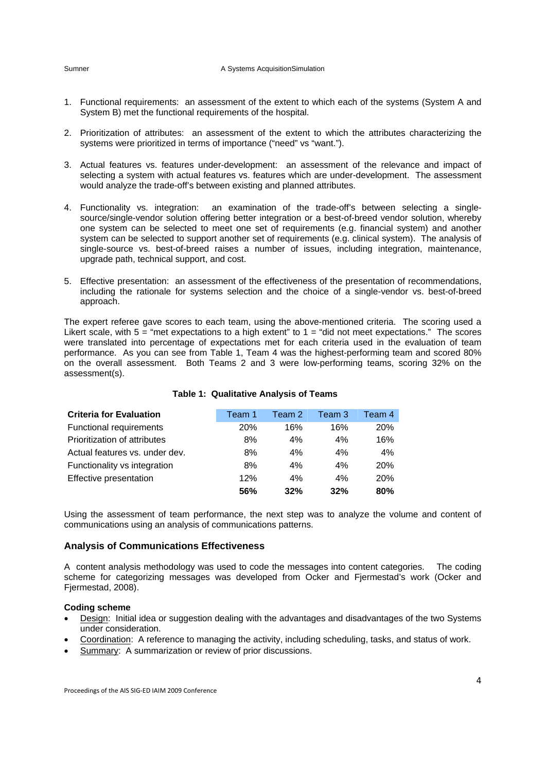- 1. Functional requirements: an assessment of the extent to which each of the systems (System A and System B) met the functional requirements of the hospital.
- 2. Prioritization of attributes: an assessment of the extent to which the attributes characterizing the systems were prioritized in terms of importance ("need" vs "want.").
- 3. Actual features vs. features under-development: an assessment of the relevance and impact of selecting a system with actual features vs. features which are under-development. The assessment would analyze the trade-off's between existing and planned attributes.
- 4. Functionality vs. integration: an examination of the trade-off's between selecting a singlesource/single-vendor solution offering better integration or a best-of-breed vendor solution, whereby one system can be selected to meet one set of requirements (e.g. financial system) and another system can be selected to support another set of requirements (e.g. clinical system). The analysis of single-source vs. best-of-breed raises a number of issues, including integration, maintenance, upgrade path, technical support, and cost.
- 5. Effective presentation: an assessment of the effectiveness of the presentation of recommendations, including the rationale for systems selection and the choice of a single-vendor vs. best-of-breed approach.

The expert referee gave scores to each team, using the above-mentioned criteria. The scoring used a Likert scale, with  $5 =$  "met expectations to a high extent" to  $1 =$  "did not meet expectations." The scores were translated into percentage of expectations met for each criteria used in the evaluation of team performance. As you can see from Table 1, Team 4 was the highest-performing team and scored 80% on the overall assessment. Both Teams 2 and 3 were low-performing teams, scoring 32% on the assessment(s).

| <b>Criteria for Evaluation</b> | Team 1 | Team 2 | Team 3 | Team 4     |
|--------------------------------|--------|--------|--------|------------|
| Functional requirements        | 20%    | 16%    | 16%    | 20%        |
| Prioritization of attributes   | 8%     | 4%     | 4%     | 16%        |
| Actual features vs. under dev. | 8%     | 4%     | 4%     | 4%         |
| Functionality vs integration   | 8%     | 4%     | 4%     | <b>20%</b> |
| Effective presentation         | 12%    | 4%     | 4%     | <b>20%</b> |
|                                | 56%    | 32%    | 32%    | 80%        |

### **Table 1: Qualitative Analysis of Teams**

Using the assessment of team performance, the next step was to analyze the volume and content of communications using an analysis of communications patterns.

# **Analysis of Communications Effectiveness**

A content analysis methodology was used to code the messages into content categories. The coding scheme for categorizing messages was developed from Ocker and Fjermestad's work (Ocker and Fjermestad, 2008).

## **Coding scheme**

- Design: Initial idea or suggestion dealing with the advantages and disadvantages of the two Systems under consideration.
- Coordination: A reference to managing the activity, including scheduling, tasks, and status of work.
- Summary: A summarization or review of prior discussions.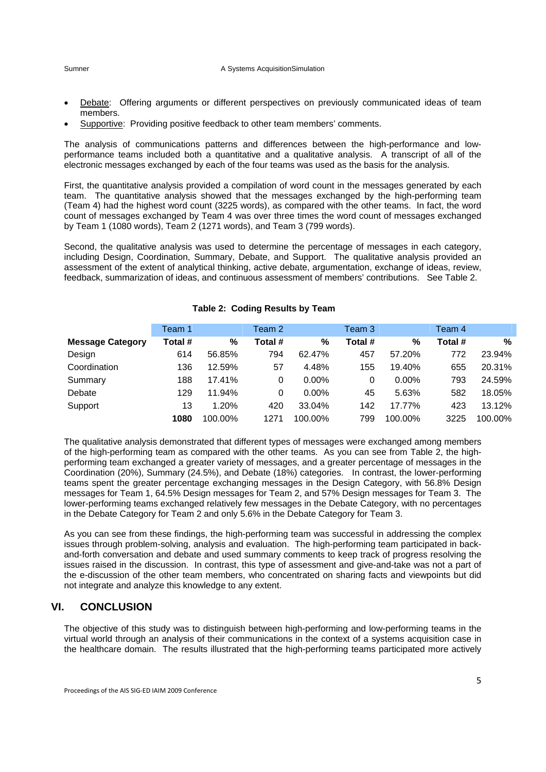- Debate: Offering arguments or different perspectives on previously communicated ideas of team members.
- Supportive: Providing positive feedback to other team members' comments.

The analysis of communications patterns and differences between the high-performance and lowperformance teams included both a quantitative and a qualitative analysis. A transcript of all of the electronic messages exchanged by each of the four teams was used as the basis for the analysis.

First, the quantitative analysis provided a compilation of word count in the messages generated by each team. The quantitative analysis showed that the messages exchanged by the high-performing team (Team 4) had the highest word count (3225 words), as compared with the other teams. In fact, the word count of messages exchanged by Team 4 was over three times the word count of messages exchanged by Team 1 (1080 words), Team 2 (1271 words), and Team 3 (799 words).

Second, the qualitative analysis was used to determine the percentage of messages in each category, including Design, Coordination, Summary, Debate, and Support. The qualitative analysis provided an assessment of the extent of analytical thinking, active debate, argumentation, exchange of ideas, review, feedback, summarization of ideas, and continuous assessment of members' contributions. See Table 2.

|                         | Team 1  |         | Team 2  |          | Team 3  |          | Team 4  |         |
|-------------------------|---------|---------|---------|----------|---------|----------|---------|---------|
| <b>Message Category</b> | Total # | %       | Total # | %        | Total # | %        | Total # | $\%$    |
| Design                  | 614     | 56.85%  | 794     | 62.47%   | 457     | 57.20%   | 772     | 23.94%  |
| Coordination            | 136     | 12.59%  | 57      | 4.48%    | 155     | 19.40%   | 655     | 20.31%  |
| Summary                 | 188     | 17.41%  | 0       | $0.00\%$ | 0       | $0.00\%$ | 793     | 24.59%  |
| Debate                  | 129     | 11.94%  | 0       | $0.00\%$ | 45      | 5.63%    | 582     | 18.05%  |
| Support                 | 13      | 1.20%   | 420     | 33.04%   | 142     | 17.77%   | 423     | 13.12%  |
|                         | 1080    | 100.00% | 1271    | 100.00%  | 799     | 100.00%  | 3225    | 100.00% |

### **Table 2: Coding Results by Team**

The qualitative analysis demonstrated that different types of messages were exchanged among members of the high-performing team as compared with the other teams. As you can see from Table 2, the highperforming team exchanged a greater variety of messages, and a greater percentage of messages in the Coordination (20%), Summary (24.5%), and Debate (18%) categories. In contrast, the lower-performing teams spent the greater percentage exchanging messages in the Design Category, with 56.8% Design messages for Team 1, 64.5% Design messages for Team 2, and 57% Design messages for Team 3. The lower-performing teams exchanged relatively few messages in the Debate Category, with no percentages in the Debate Category for Team 2 and only 5.6% in the Debate Category for Team 3.

As you can see from these findings, the high-performing team was successful in addressing the complex issues through problem-solving, analysis and evaluation. The high-performing team participated in backand-forth conversation and debate and used summary comments to keep track of progress resolving the issues raised in the discussion. In contrast, this type of assessment and give-and-take was not a part of the e-discussion of the other team members, who concentrated on sharing facts and viewpoints but did not integrate and analyze this knowledge to any extent.

# **VI. CONCLUSION**

The objective of this study was to distinguish between high-performing and low-performing teams in the virtual world through an analysis of their communications in the context of a systems acquisition case in the healthcare domain. The results illustrated that the high-performing teams participated more actively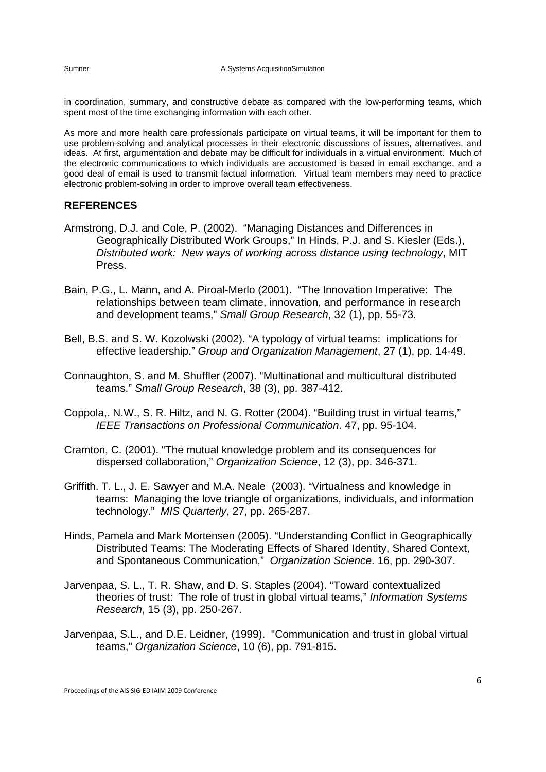in coordination, summary, and constructive debate as compared with the low-performing teams, which spent most of the time exchanging information with each other.

As more and more health care professionals participate on virtual teams, it will be important for them to use problem-solving and analytical processes in their electronic discussions of issues, alternatives, and ideas. At first, argumentation and debate may be difficult for individuals in a virtual environment. Much of the electronic communications to which individuals are accustomed is based in email exchange, and a good deal of email is used to transmit factual information. Virtual team members may need to practice electronic problem-solving in order to improve overall team effectiveness.

# **REFERENCES**

- Armstrong, D.J. and Cole, P. (2002). "Managing Distances and Differences in Geographically Distributed Work Groups," In Hinds, P.J. and S. Kiesler (Eds.), *Distributed work: New ways of working across distance using technology*, MIT Press.
- Bain, P.G., L. Mann, and A. Piroal-Merlo (2001). "The Innovation Imperative: The relationships between team climate, innovation, and performance in research and development teams," *Small Group Research*, 32 (1), pp. 55-73.
- Bell, B.S. and S. W. Kozolwski (2002). "A typology of virtual teams: implications for effective leadership." *Group and Organization Management*, 27 (1), pp. 14-49.
- Connaughton, S. and M. Shuffler (2007). "Multinational and multicultural distributed teams." *Small Group Research*, 38 (3), pp. 387-412.
- Coppola,. N.W., S. R. Hiltz, and N. G. Rotter (2004). "Building trust in virtual teams," *IEEE Transactions on Professional Communication*. 47, pp. 95-104.
- Cramton, C. (2001). "The mutual knowledge problem and its consequences for dispersed collaboration," *Organization Science*, 12 (3), pp. 346-371.
- Griffith. T. L., J. E. Sawyer and M.A. Neale (2003). "Virtualness and knowledge in teams: Managing the love triangle of organizations, individuals, and information technology." *MIS Quarterly*, 27, pp. 265-287.
- Hinds, Pamela and Mark Mortensen (2005). "Understanding Conflict in Geographically Distributed Teams: The Moderating Effects of Shared Identity, Shared Context, and Spontaneous Communication," *Organization Science*. 16, pp. 290-307.
- Jarvenpaa, S. L., T. R. Shaw, and D. S. Staples (2004). "Toward contextualized theories of trust: The role of trust in global virtual teams," *Information Systems Research*, 15 (3), pp. 250-267.
- Jarvenpaa, S.L., and D.E. Leidner, (1999). "Communication and trust in global virtual teams," *Organization Science*, 10 (6), pp. 791-815.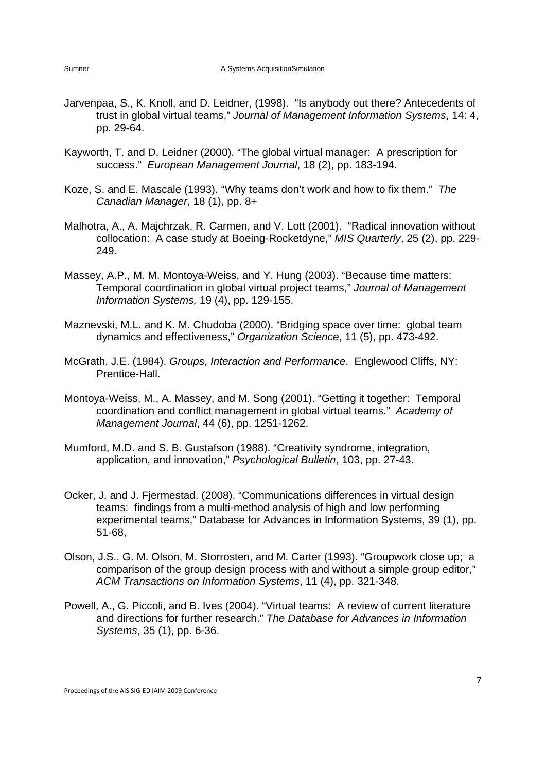- Jarvenpaa, S., K. Knoll, and D. Leidner, (1998). "Is anybody out there? Antecedents of trust in global virtual teams," *Journal of Management Information Systems*, 14: 4, pp. 29-64.
- Kayworth, T. and D. Leidner (2000). "The global virtual manager: A prescription for success." *European Management Journal*, 18 (2), pp. 183-194.
- Koze, S. and E. Mascale (1993). "Why teams don't work and how to fix them." *The Canadian Manager*, 18 (1), pp. 8+
- Malhotra, A., A. Majchrzak, R. Carmen, and V. Lott (2001). "Radical innovation without collocation: A case study at Boeing-Rocketdyne," *MIS Quarterly*, 25 (2), pp. 229- 249.
- Massey, A.P., M. M. Montoya-Weiss, and Y. Hung (2003). "Because time matters: Temporal coordination in global virtual project teams," *Journal of Management Information Systems,* 19 (4), pp. 129-155.
- Maznevski, M.L. and K. M. Chudoba (2000). "Bridging space over time: global team dynamics and effectiveness," *Organization Science*, 11 (5), pp. 473-492.
- McGrath, J.E. (1984). *Groups, Interaction and Performance*. Englewood Cliffs, NY: Prentice-Hall.
- Montoya-Weiss, M., A. Massey, and M. Song (2001). "Getting it together: Temporal coordination and conflict management in global virtual teams." *Academy of Management Journal*, 44 (6), pp. 1251-1262.
- Mumford, M.D. and S. B. Gustafson (1988). "Creativity syndrome, integration, application, and innovation," *Psychological Bulletin*, 103, pp. 27-43.
- Ocker, J. and J. Fjermestad. (2008). "Communications differences in virtual design teams: findings from a multi-method analysis of high and low performing experimental teams," Database for Advances in Information Systems, 39 (1), pp. 51-68,
- Olson, J.S., G. M. Olson, M. Storrosten, and M. Carter (1993). "Groupwork close up; a comparison of the group design process with and without a simple group editor," *ACM Transactions on Information Systems*, 11 (4), pp. 321-348.
- Powell, A., G. Piccoli, and B. Ives (2004). "Virtual teams: A review of current literature and directions for further research." *The Database for Advances in Information Systems*, 35 (1), pp. 6-36.